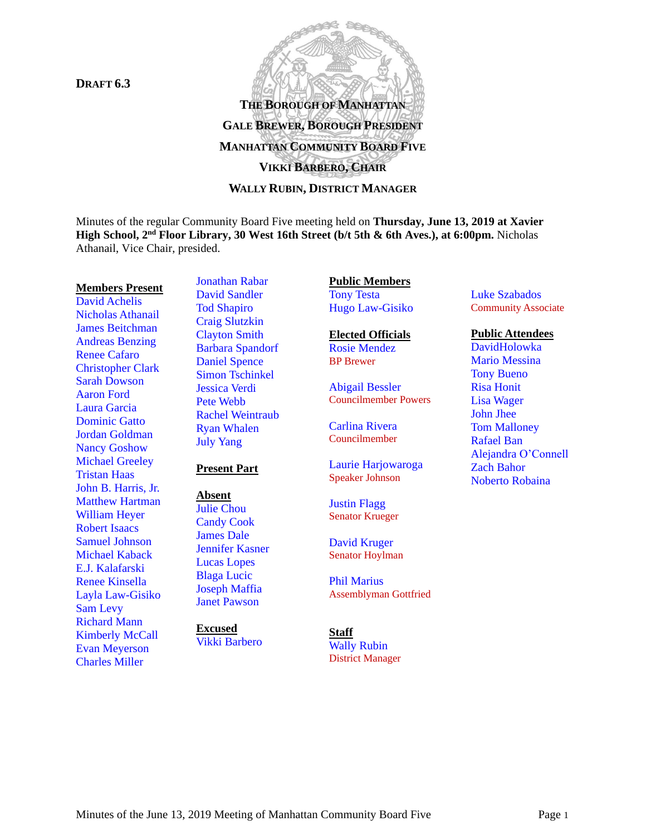**DRAFT 6.3**



Minutes of the regular Community Board Five meeting held on **Thursday, June 13, 2019 at Xavier High School, 2 nd Floor Library, 30 West 16th Street (b/t 5th & 6th Aves.), at 6:00pm.** Nicholas Athanail, Vice Chair, presided.

#### **Members Present**

David Achelis Nicholas Athanail James Beitchman Andreas Benzing Renee Cafaro Christopher Clark Sarah Dowson Aaron Ford Laura Garcia Dominic Gatto Jordan Goldman Nancy Goshow Michael Greeley Tristan Haas John B. Harris, Jr. Matthew Hartman William Heyer Robert Isaacs Samuel Johnson Michael Kaback E.J. Kalafarski Renee Kinsella Layla Law-Gisiko Sam Levy Richard Mann Kimberly McCall Evan Meyerson Charles Miller

Jonathan Rabar David Sandler Tod Shapiro Craig Slutzkin Clayton Smith Barbara Spandorf Daniel Spence Simon Tschinkel Jessica Verdi Pete Webb Rachel Weintraub Ryan Whalen July Yang

### **Present Part**

**Absent**

Julie Chou Candy Cook James Dale Jennifer Kasner Lucas Lopes Blaga Lucic Joseph Maffia Janet Pawson

**Excused**

Vikki Barbero

**Public Members** Tony Testa Hugo Law-Gisiko

**Elected Officials** Rosie Mendez BP Brewer

Abigail Bessler Councilmember Powers

Carlina Rivera Councilmember

Laurie Harjowaroga Speaker Johnson

Justin Flagg Senator Krueger

David Kruger Senator Hoylman

Phil Marius Assemblyman Gottfried

#### **Staff** Wally Rubin District Manager

Luke Szabados Community Associate

#### **Public Attendees**

DavidHolowka Mario Messina Tony Bueno Risa Honit Lisa Wager John Jhee Tom Malloney Rafael Ban Alejandra O'Connell Zach Bahor Noberto Robaina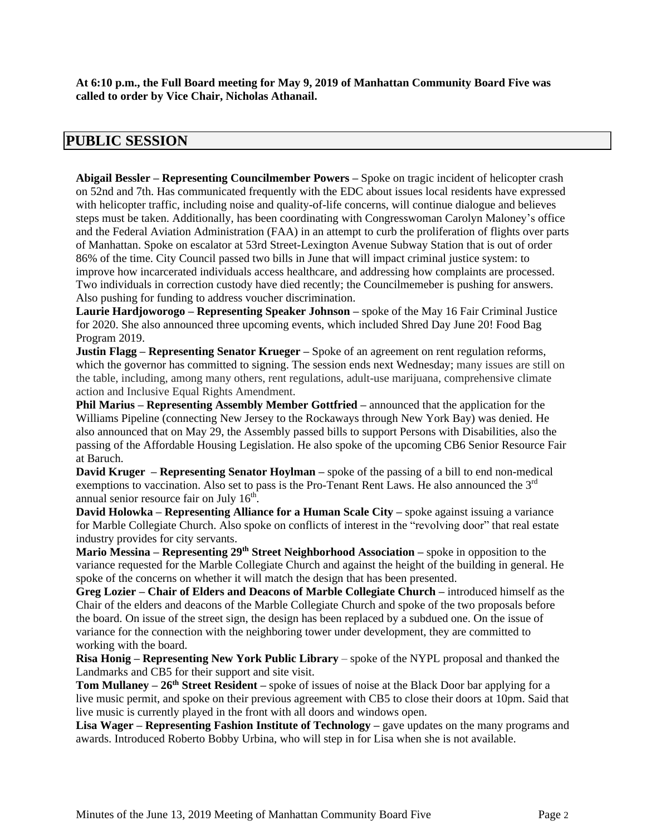**At 6:10 p.m., the Full Board meeting for May 9, 2019 of Manhattan Community Board Five was called to order by Vice Chair, Nicholas Athanail.**

# **PUBLIC SESSION**

**Abigail Bessler – Representing Councilmember Powers –** Spoke on tragic incident of helicopter crash on 52nd and 7th. Has communicated frequently with the EDC about issues local residents have expressed with helicopter traffic, including noise and quality-of-life concerns, will continue dialogue and believes steps must be taken. Additionally, has been coordinating with Congresswoman Carolyn Maloney's office and the Federal Aviation Administration (FAA) in an attempt to curb the proliferation of flights over parts of Manhattan. Spoke on escalator at 53rd Street-Lexington Avenue Subway Station that is out of order 86% of the time. City Council passed two bills in June that will impact criminal justice system: to improve how incarcerated individuals access healthcare, and addressing how complaints are processed. Two individuals in correction custody have died recently; the Councilmemeber is pushing for answers. Also pushing for funding to address voucher discrimination.

**Laurie Hardjoworogo – Representing Speaker Johnson –** spoke of the May 16 Fair Criminal Justice for 2020. She also announced three upcoming events, which included Shred Day June 20! Food Bag Program 2019.

**Justin Flagg – Representing Senator Krueger –** Spoke of an agreement on rent regulation reforms, which the governor has committed to signing. The session ends next Wednesday; many issues are still on the table, including, among many others, rent regulations, adult-use marijuana, comprehensive climate action and Inclusive Equal Rights Amendment.

**Phil Marius – Representing Assembly Member Gottfried –** announced that the application for the Williams Pipeline (connecting New Jersey to the Rockaways through New York Bay) was denied. He also announced that on May 29, the Assembly passed bills to support Persons with Disabilities, also the passing of the Affordable Housing Legislation. He also spoke of the upcoming CB6 Senior Resource Fair at Baruch.

**David Kruger – Representing Senator Hoylman –** spoke of the passing of a bill to end non-medical exemptions to vaccination. Also set to pass is the Pro-Tenant Rent Laws. He also announced the  $3<sup>rd</sup>$ annual senior resource fair on July  $16<sup>th</sup>$ .

**David Holowka – Representing Alliance for a Human Scale City –** spoke against issuing a variance for Marble Collegiate Church. Also spoke on conflicts of interest in the "revolving door" that real estate industry provides for city servants.

**Mario Messina – Representing 29th Street Neighborhood Association –** spoke in opposition to the variance requested for the Marble Collegiate Church and against the height of the building in general. He spoke of the concerns on whether it will match the design that has been presented.

**Greg Lozier – Chair of Elders and Deacons of Marble Collegiate Church –** introduced himself as the Chair of the elders and deacons of the Marble Collegiate Church and spoke of the two proposals before the board. On issue of the street sign, the design has been replaced by a subdued one. On the issue of variance for the connection with the neighboring tower under development, they are committed to working with the board.

**Risa Honig – Representing New York Public Library** – spoke of the NYPL proposal and thanked the Landmarks and CB5 for their support and site visit.

**Tom Mullaney – 26th Street Resident –** spoke of issues of noise at the Black Door bar applying for a live music permit, and spoke on their previous agreement with CB5 to close their doors at 10pm. Said that live music is currently played in the front with all doors and windows open.

**Lisa Wager – Representing Fashion Institute of Technology –** gave updates on the many programs and awards. Introduced Roberto Bobby Urbina, who will step in for Lisa when she is not available.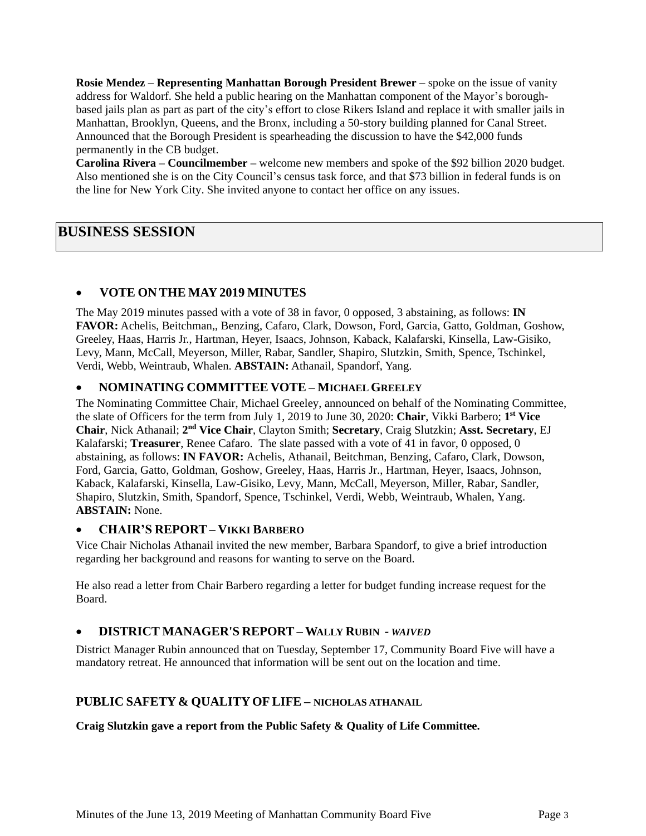**Rosie Mendez – Representing Manhattan Borough President Brewer –** spoke on the issue of vanity address for Waldorf. She held a public hearing on the Manhattan component of the Mayor's boroughbased jails plan as part as part of the city's effort to close Rikers Island and replace it with smaller jails in Manhattan, Brooklyn, Queens, and the Bronx, including a 50-story building planned for Canal Street. Announced that the Borough President is spearheading the discussion to have the \$42,000 funds permanently in the CB budget.

**Carolina Rivera – Councilmember –** welcome new members and spoke of the \$92 billion 2020 budget. Also mentioned she is on the City Council's census task force, and that \$73 billion in federal funds is on the line for New York City. She invited anyone to contact her office on any issues.

# **BUSINESS SESSION**

# • **VOTE ON THE MAY 2019 MINUTES**

The May 2019 minutes passed with a vote of 38 in favor, 0 opposed, 3 abstaining, as follows: **IN FAVOR:** Achelis, Beitchman,, Benzing, Cafaro, Clark, Dowson, Ford, Garcia, Gatto, Goldman, Goshow, Greeley, Haas, Harris Jr., Hartman, Heyer, Isaacs, Johnson, Kaback, Kalafarski, Kinsella, Law-Gisiko, Levy, Mann, McCall, Meyerson, Miller, Rabar, Sandler, Shapiro, Slutzkin, Smith, Spence, Tschinkel, Verdi, Webb, Weintraub, Whalen. **ABSTAIN:** Athanail, Spandorf, Yang.

## • **NOMINATING COMMITTEE VOTE – MICHAEL GREELEY**

The Nominating Committee Chair, Michael Greeley, announced on behalf of the Nominating Committee, the slate of Officers for the term from July 1, 2019 to June 30, 2020: **Chair**, Vikki Barbero; **1 st Vice Chair**, Nick Athanail; **2 nd Vice Chair**, Clayton Smith; **Secretary**, Craig Slutzkin; **Asst. Secretary**, EJ Kalafarski; **Treasurer**, Renee Cafaro. The slate passed with a vote of 41 in favor, 0 opposed, 0 abstaining, as follows: **IN FAVOR:** Achelis, Athanail, Beitchman, Benzing, Cafaro, Clark, Dowson, Ford, Garcia, Gatto, Goldman, Goshow, Greeley, Haas, Harris Jr., Hartman, Heyer, Isaacs, Johnson, Kaback, Kalafarski, Kinsella, Law-Gisiko, Levy, Mann, McCall, Meyerson, Miller, Rabar, Sandler, Shapiro, Slutzkin, Smith, Spandorf, Spence, Tschinkel, Verdi, Webb, Weintraub, Whalen, Yang. **ABSTAIN:** None.

## • **CHAIR'S REPORT – VIKKI BARBERO**

Vice Chair Nicholas Athanail invited the new member, Barbara Spandorf, to give a brief introduction regarding her background and reasons for wanting to serve on the Board.

He also read a letter from Chair Barbero regarding a letter for budget funding increase request for the Board.

# • **DISTRICT MANAGER'S REPORT – WALLY RUBIN** *- WAIVED*

District Manager Rubin announced that on Tuesday, September 17, Community Board Five will have a mandatory retreat. He announced that information will be sent out on the location and time.

# **PUBLIC SAFETY & QUALITY OFLIFE – NICHOLAS ATHANAIL**

**Craig Slutzkin gave a report from the Public Safety & Quality of Life Committee.**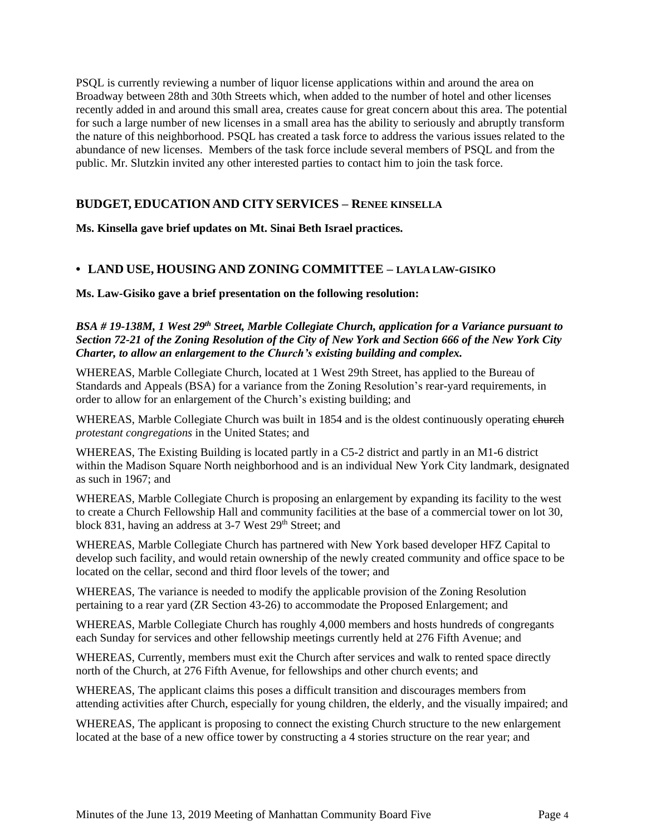PSQL is currently reviewing a number of liquor license applications within and around the area on Broadway between 28th and 30th Streets which, when added to the number of hotel and other licenses recently added in and around this small area, creates cause for great concern about this area. The potential for such a large number of new licenses in a small area has the ability to seriously and abruptly transform the nature of this neighborhood. PSQL has created a task force to address the various issues related to the abundance of new licenses. Members of the task force include several members of PSQL and from the public. Mr. Slutzkin invited any other interested parties to contact him to join the task force.

# **BUDGET, EDUCATION AND CITY SERVICES – RENEE KINSELLA**

**Ms. Kinsella gave brief updates on Mt. Sinai Beth Israel practices.**

## **• LAND USE, HOUSING AND ZONING COMMITTEE – LAYLA LAW-GISIKO**

**Ms. Law-Gisiko gave a brief presentation on the following resolution:**

### *BSA # 19-138M, 1 West 29th Street, Marble Collegiate Church, application for a Variance pursuant to* Section 72-21 of the Zoning Resolution of the City of New York and Section 666 of the New York City *Charter, to allow an enlargement to the Church's existing building and complex.*

WHEREAS, Marble Collegiate Church, located at 1 West 29th Street, has applied to the Bureau of Standards and Appeals (BSA) for a variance from the Zoning Resolution's rear-yard requirements, in order to allow for an enlargement of the Church's existing building; and

WHEREAS, Marble Collegiate Church was built in 1854 and is the oldest continuously operating entered *protestant congregations* in the United States; and

WHEREAS, The Existing Building is located partly in a C5-2 district and partly in an M1-6 district within the Madison Square North neighborhood and is an individual New York City landmark, designated as such in 1967; and

WHEREAS, Marble Collegiate Church is proposing an enlargement by expanding its facility to the west to create a Church Fellowship Hall and community facilities at the base of a commercial tower on lot 30, block 831, having an address at 3-7 West 29<sup>th</sup> Street; and

WHEREAS, Marble Collegiate Church has partnered with New York based developer HFZ Capital to develop such facility, and would retain ownership of the newly created community and office space to be located on the cellar, second and third floor levels of the tower; and

WHEREAS, The variance is needed to modify the applicable provision of the Zoning Resolution pertaining to a rear yard (ZR Section 43-26) to accommodate the Proposed Enlargement; and

WHEREAS, Marble Collegiate Church has roughly 4,000 members and hosts hundreds of congregants each Sunday for services and other fellowship meetings currently held at 276 Fifth Avenue; and

WHEREAS, Currently, members must exit the Church after services and walk to rented space directly north of the Church, at 276 Fifth Avenue, for fellowships and other church events; and

WHEREAS, The applicant claims this poses a difficult transition and discourages members from attending activities after Church, especially for young children, the elderly, and the visually impaired; and

WHEREAS, The applicant is proposing to connect the existing Church structure to the new enlargement located at the base of a new office tower by constructing a 4 stories structure on the rear year; and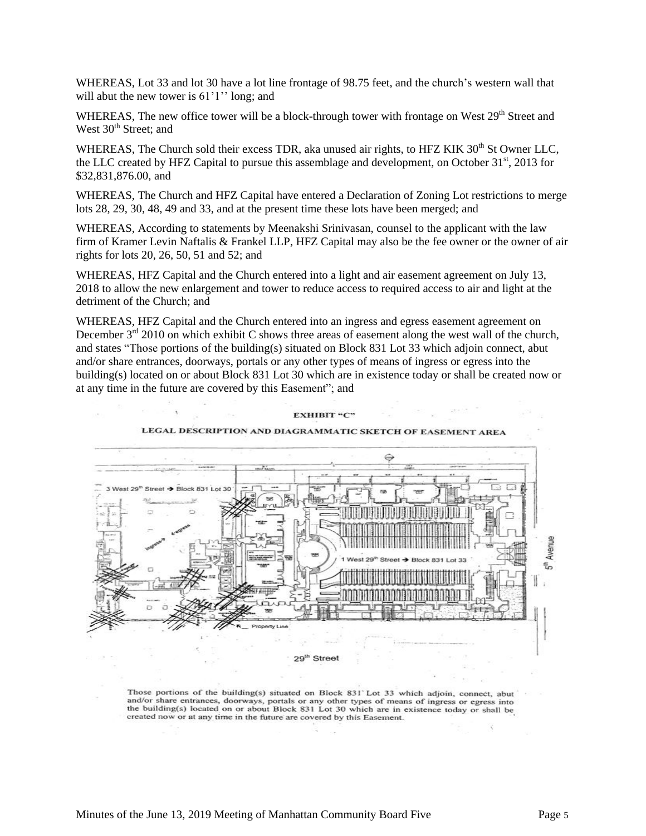WHEREAS, Lot 33 and lot 30 have a lot line frontage of 98.75 feet, and the church's western wall that will abut the new tower is  $61'1''$  long; and

WHEREAS, The new office tower will be a block-through tower with frontage on West 29<sup>th</sup> Street and West  $30<sup>th</sup>$  Street; and

WHEREAS, The Church sold their excess TDR, aka unused air rights, to HFZ KIK 30<sup>th</sup> St Owner LLC, the LLC created by HFZ Capital to pursue this assemblage and development, on October 31<sup>st</sup>, 2013 for \$32,831,876.00, and

WHEREAS, The Church and HFZ Capital have entered a Declaration of Zoning Lot restrictions to merge lots 28, 29, 30, 48, 49 and 33, and at the present time these lots have been merged; and

WHEREAS, According to statements by Meenakshi Srinivasan, counsel to the applicant with the law firm of Kramer Levin Naftalis & Frankel LLP, HFZ Capital may also be the fee owner or the owner of air rights for lots 20, 26, 50, 51 and 52; and

WHEREAS, HFZ Capital and the Church entered into a light and air easement agreement on July 13, 2018 to allow the new enlargement and tower to reduce access to required access to air and light at the detriment of the Church; and

WHEREAS, HFZ Capital and the Church entered into an ingress and egress easement agreement on December  $3<sup>rd</sup>$  2010 on which exhibit C shows three areas of easement along the west wall of the church, and states "Those portions of the building(s) situated on Block 831 Lot 33 which adjoin connect, abut and/or share entrances, doorways, portals or any other types of means of ingress or egress into the building(s) located on or about Block 831 Lot 30 which are in existence today or shall be created now or at any time in the future are covered by this Easement"; and



Those portions of the building(s) situated on Block 831 Lot 33 which adjoin, connect, abut and/or share entrances, doorways, portals or any other types of means of ingress or egress into the building(s) located on or about Block 831 Lot 30 which are in existence today or shall be created now or at any time in the future are covered by this Easement.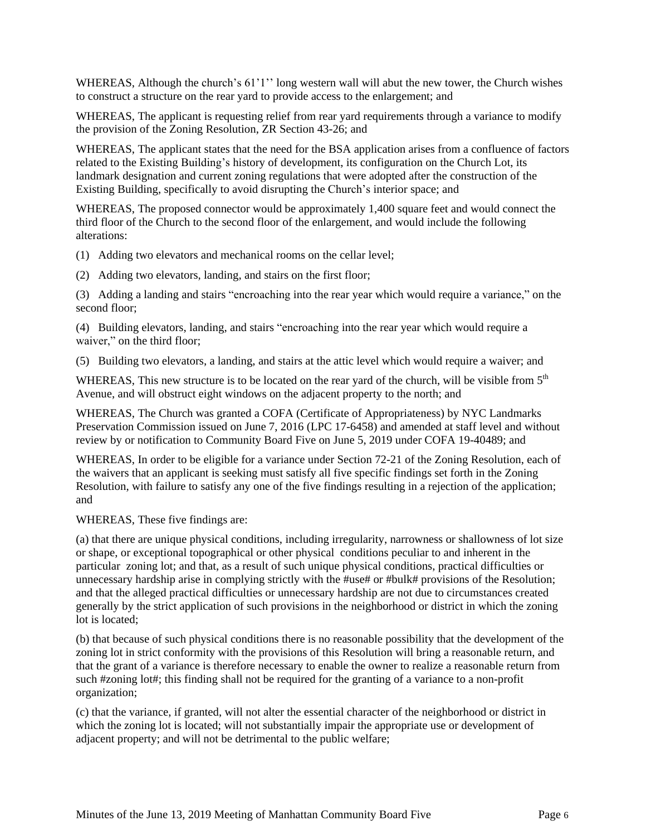WHEREAS, Although the church's 61'1'' long western wall will abut the new tower, the Church wishes to construct a structure on the rear yard to provide access to the enlargement; and

WHEREAS, The applicant is requesting relief from rear yard requirements through a variance to modify the provision of the Zoning Resolution, ZR Section 43-26; and

WHEREAS, The applicant states that the need for the BSA application arises from a confluence of factors related to the Existing Building's history of development, its configuration on the Church Lot, its landmark designation and current zoning regulations that were adopted after the construction of the Existing Building, specifically to avoid disrupting the Church's interior space; and

WHEREAS, The proposed connector would be approximately 1,400 square feet and would connect the third floor of the Church to the second floor of the enlargement, and would include the following alterations:

(1) Adding two elevators and mechanical rooms on the cellar level;

(2) Adding two elevators, landing, and stairs on the first floor;

(3) Adding a landing and stairs "encroaching into the rear year which would require a variance," on the second floor;

(4) Building elevators, landing, and stairs "encroaching into the rear year which would require a waiver," on the third floor;

(5) Building two elevators, a landing, and stairs at the attic level which would require a waiver; and

WHEREAS, This new structure is to be located on the rear yard of the church, will be visible from  $5<sup>th</sup>$ Avenue, and will obstruct eight windows on the adjacent property to the north; and

WHEREAS, The Church was granted a COFA (Certificate of Appropriateness) by NYC Landmarks Preservation Commission issued on June 7, 2016 (LPC 17-6458) and amended at staff level and without review by or notification to Community Board Five on June 5, 2019 under COFA 19-40489; and

WHEREAS, In order to be eligible for a variance under Section 72-21 of the Zoning Resolution, each of the waivers that an applicant is seeking must satisfy all five specific findings set forth in the Zoning Resolution, with failure to satisfy any one of the five findings resulting in a rejection of the application; and

WHEREAS, These five findings are:

(a) that there are unique physical conditions, including irregularity, narrowness or shallowness of lot size or shape, or exceptional topographical or other physical conditions peculiar to and inherent in the particular zoning lot; and that, as a result of such unique physical conditions, practical difficulties or unnecessary hardship arise in complying strictly with the #use# or #bulk# provisions of the Resolution; and that the alleged practical difficulties or unnecessary hardship are not due to circumstances created generally by the strict application of such provisions in the neighborhood or district in which the zoning lot is located;

(b) that because of such physical conditions there is no reasonable possibility that the development of the zoning lot in strict conformity with the provisions of this Resolution will bring a reasonable return, and that the grant of a variance is therefore necessary to enable the owner to realize a reasonable return from such #zoning lot#; this finding shall not be required for the granting of a variance to a non-profit organization;

(c) that the variance, if granted, will not alter the essential character of the neighborhood or district in which the zoning lot is located; will not substantially impair the appropriate use or development of adjacent property; and will not be detrimental to the public welfare;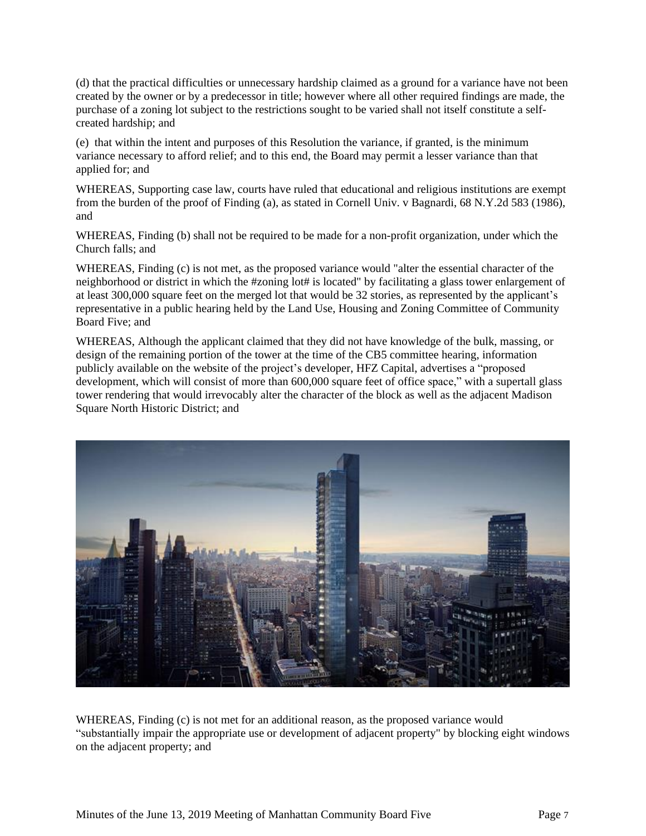(d) that the practical difficulties or unnecessary hardship claimed as a ground for a variance have not been created by the owner or by a predecessor in title; however where all other required findings are made, the purchase of a zoning lot subject to the restrictions sought to be varied shall not itself constitute a selfcreated hardship; and

(e) that within the intent and purposes of this Resolution the variance, if granted, is the minimum variance necessary to afford relief; and to this end, the Board may permit a lesser variance than that applied for; and

WHEREAS, Supporting case law, courts have ruled that educational and religious institutions are exempt from the burden of the proof of Finding (a), as stated in Cornell Univ. v Bagnardi, 68 N.Y.2d 583 (1986), and

WHEREAS, Finding (b) shall not be required to be made for a non-profit organization, under which the Church falls; and

WHEREAS, Finding (c) is not met, as the proposed variance would "alter the essential character of the neighborhood or district in which the #zoning lot# is located" by facilitating a glass tower enlargement of at least 300,000 square feet on the merged lot that would be 32 stories, as represented by the applicant's representative in a public hearing held by the Land Use, Housing and Zoning Committee of Community Board Five; and

WHEREAS, Although the applicant claimed that they did not have knowledge of the bulk, massing, or design of the remaining portion of the tower at the time of the CB5 committee hearing, information publicly available on the website of the project's developer, HFZ Capital, advertises a "proposed development, which will consist of more than 600,000 square feet of office space," with a supertall glass tower rendering that would irrevocably alter the character of the block as well as the adjacent Madison Square North Historic District; and



WHEREAS, Finding (c) is not met for an additional reason, as the proposed variance would "substantially impair the appropriate use or development of adjacent property" by blocking eight windows on the adjacent property; and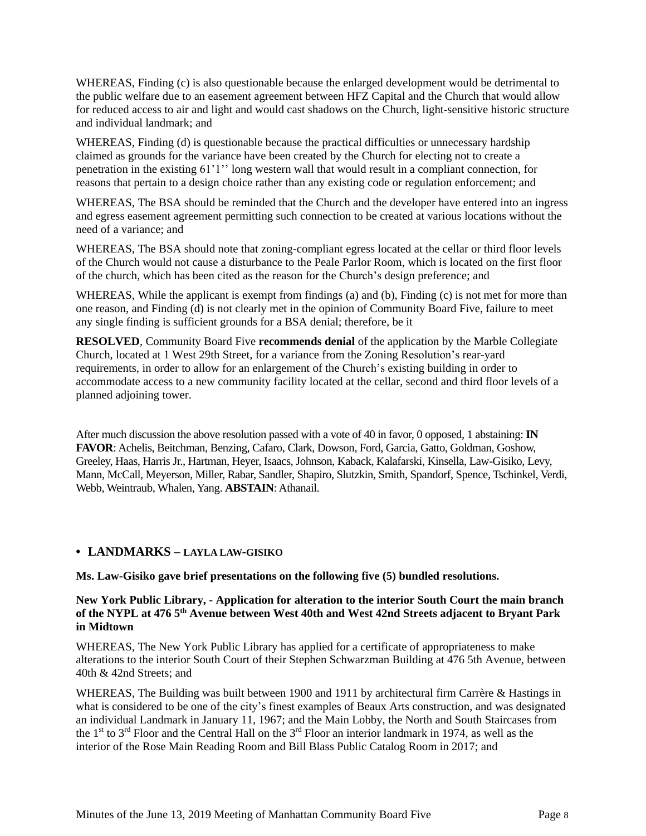WHEREAS, Finding (c) is also questionable because the enlarged development would be detrimental to the public welfare due to an easement agreement between HFZ Capital and the Church that would allow for reduced access to air and light and would cast shadows on the Church, light-sensitive historic structure and individual landmark; and

WHEREAS, Finding (d) is questionable because the practical difficulties or unnecessary hardship claimed as grounds for the variance have been created by the Church for electing not to create a penetration in the existing 61'1'' long western wall that would result in a compliant connection, for reasons that pertain to a design choice rather than any existing code or regulation enforcement; and

WHEREAS, The BSA should be reminded that the Church and the developer have entered into an ingress and egress easement agreement permitting such connection to be created at various locations without the need of a variance; and

WHEREAS, The BSA should note that zoning-compliant egress located at the cellar or third floor levels of the Church would not cause a disturbance to the Peale Parlor Room, which is located on the first floor of the church, which has been cited as the reason for the Church's design preference; and

WHEREAS, While the applicant is exempt from findings (a) and (b), Finding (c) is not met for more than one reason, and Finding (d) is not clearly met in the opinion of Community Board Five, failure to meet any single finding is sufficient grounds for a BSA denial; therefore, be it

**RESOLVED**, Community Board Five **recommends denial** of the application by the Marble Collegiate Church, located at 1 West 29th Street, for a variance from the Zoning Resolution's rear-yard requirements, in order to allow for an enlargement of the Church's existing building in order to accommodate access to a new community facility located at the cellar, second and third floor levels of a planned adjoining tower.

After much discussion the above resolution passed with a vote of 40 in favor, 0 opposed, 1 abstaining: **IN FAVOR**: Achelis, Beitchman, Benzing, Cafaro, Clark, Dowson, Ford, Garcia, Gatto, Goldman, Goshow, Greeley, Haas, Harris Jr., Hartman, Heyer, Isaacs, Johnson, Kaback, Kalafarski, Kinsella, Law-Gisiko, Levy, Mann, McCall, Meyerson, Miller, Rabar, Sandler, Shapiro, Slutzkin, Smith, Spandorf, Spence, Tschinkel, Verdi, Webb, Weintraub, Whalen, Yang. **ABSTAIN**: Athanail.

## **• LANDMARKS – LAYLA LAW-GISIKO**

**Ms. Law-Gisiko gave brief presentations on the following five (5) bundled resolutions.**

### **New York Public Library, - Application for alteration to the interior South Court the main branch** of the NYPL at 476 5<sup>th</sup> Avenue between West 40th and West 42nd Streets adjacent to Bryant Park **in Midtown**

WHEREAS, The New York Public Library has applied for a certificate of appropriateness to make alterations to the interior South Court of their Stephen Schwarzman Building at 476 5th Avenue, between 40th & 42nd Streets; and

WHEREAS, The Building was built between 1900 and 1911 by architectural firm Carrère & Hastings in what is considered to be one of the city's finest examples of Beaux Arts construction, and was designated an individual Landmark in January 11, 1967; and the Main Lobby, the North and South Staircases from the 1<sup>st</sup> to 3<sup>rd</sup> Floor and the Central Hall on the 3<sup>rd</sup> Floor an interior landmark in 1974, as well as the interior of the Rose Main Reading Room and Bill Blass Public Catalog Room in 2017; and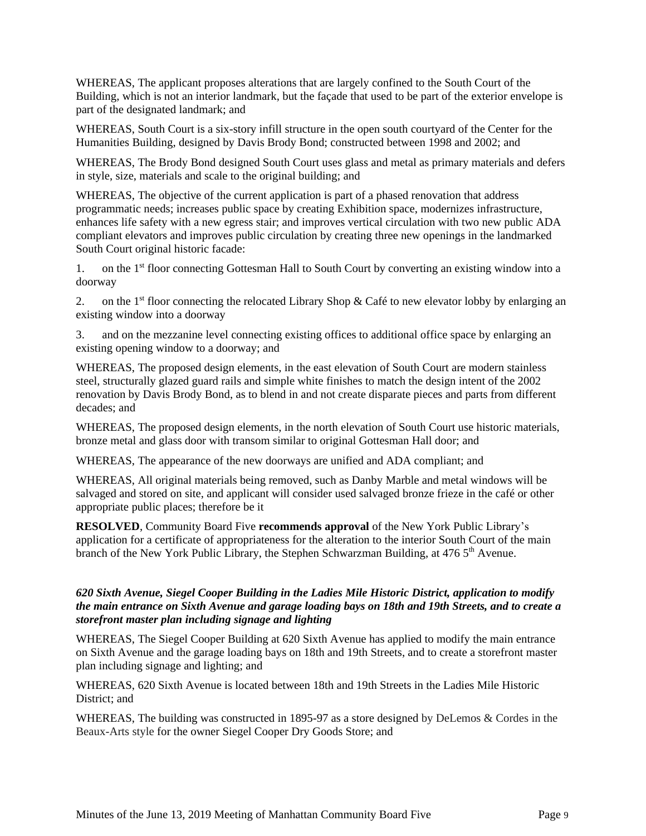WHEREAS, The applicant proposes alterations that are largely confined to the South Court of the Building, which is not an interior landmark, but the façade that used to be part of the exterior envelope is part of the designated landmark; and

WHEREAS, South Court is a six-story infill structure in the open south courtyard of the Center for the Humanities Building, designed by Davis Brody Bond; constructed between 1998 and 2002; and

WHEREAS, The Brody Bond designed South Court uses glass and metal as primary materials and defers in style, size, materials and scale to the original building; and

WHEREAS, The objective of the current application is part of a phased renovation that address programmatic needs; increases public space by creating Exhibition space, modernizes infrastructure, enhances life safety with a new egress stair; and improves vertical circulation with two new public ADA compliant elevators and improves public circulation by creating three new openings in the landmarked South Court original historic facade:

1. on the 1<sup>st</sup> floor connecting Gottesman Hall to South Court by converting an existing window into a doorway

2. on the 1<sup>st</sup> floor connecting the relocated Library Shop & Café to new elevator lobby by enlarging an existing window into a doorway

3. and on the mezzanine level connecting existing offices to additional office space by enlarging an existing opening window to a doorway; and

WHEREAS, The proposed design elements, in the east elevation of South Court are modern stainless steel, structurally glazed guard rails and simple white finishes to match the design intent of the 2002 renovation by Davis Brody Bond, as to blend in and not create disparate pieces and parts from different decades; and

WHEREAS, The proposed design elements, in the north elevation of South Court use historic materials, bronze metal and glass door with transom similar to original Gottesman Hall door; and

WHEREAS, The appearance of the new doorways are unified and ADA compliant; and

WHEREAS, All original materials being removed, such as Danby Marble and metal windows will be salvaged and stored on site, and applicant will consider used salvaged bronze frieze in the café or other appropriate public places; therefore be it

**RESOLVED**, Community Board Five **recommends approval** of the New York Public Library's application for a certificate of appropriateness for the alteration to the interior South Court of the main branch of the New York Public Library, the Stephen Schwarzman Building, at 476 5<sup>th</sup> Avenue.

### *620 Sixth Avenue, Siegel Cooper Building in the Ladies Mile Historic District, application to modify* the main entrance on Sixth Avenue and garage loading bays on 18th and 19th Streets, and to create a *storefront master plan including signage and lighting*

WHEREAS, The Siegel Cooper Building at 620 Sixth Avenue has applied to modify the main entrance on Sixth Avenue and the garage loading bays on 18th and 19th Streets, and to create a storefront master plan including signage and lighting; and

WHEREAS, 620 Sixth Avenue is located between 18th and 19th Streets in the Ladies Mile Historic District; and

WHEREAS, The building was constructed in 1895-97 as a store designed by DeLemos & Cordes in the Beaux-Arts style for the owner Siegel Cooper Dry Goods Store; and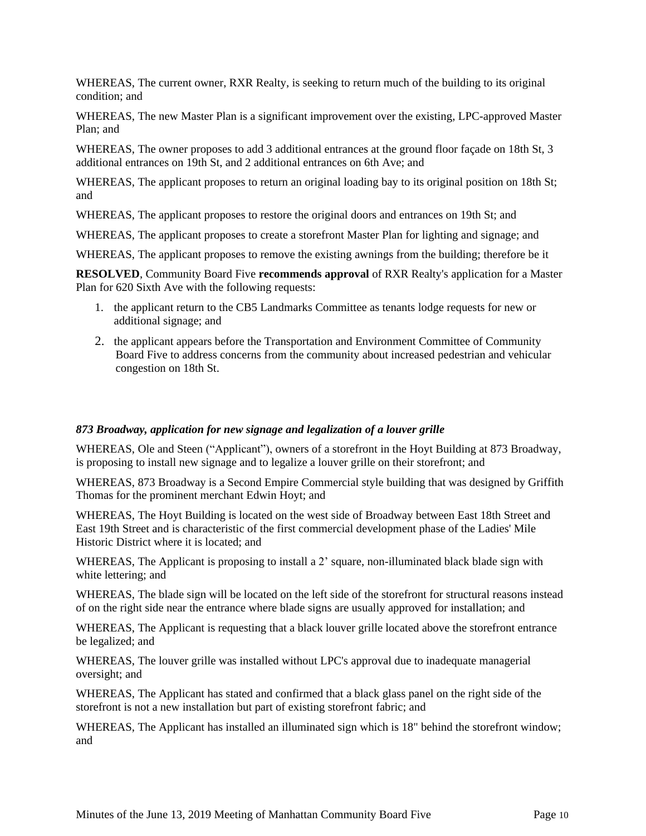WHEREAS, The current owner, RXR Realty, is seeking to return much of the building to its original condition; and

WHEREAS, The new Master Plan is a significant improvement over the existing, LPC-approved Master Plan; and

WHEREAS, The owner proposes to add 3 additional entrances at the ground floor façade on 18th St, 3 additional entrances on 19th St, and 2 additional entrances on 6th Ave; and

WHEREAS, The applicant proposes to return an original loading bay to its original position on 18th St; and

WHEREAS, The applicant proposes to restore the original doors and entrances on 19th St; and

WHEREAS, The applicant proposes to create a storefront Master Plan for lighting and signage; and

WHEREAS, The applicant proposes to remove the existing awnings from the building; therefore be it

**RESOLVED**, Community Board Five **recommends approval** of RXR Realty's application for a Master Plan for 620 Sixth Ave with the following requests:

- 1. the applicant return to the CB5 Landmarks Committee as tenants lodge requests for new or additional signage; and
- 2. the applicant appears before the Transportation and Environment Committee of Community Board Five to address concerns from the community about increased pedestrian and vehicular congestion on 18th St.

#### *873 Broadway, application for new signage and legalization of a louver grille*

WHEREAS, Ole and Steen ("Applicant"), owners of a storefront in the Hoyt Building at 873 Broadway, is proposing to install new signage and to legalize a louver grille on their storefront; and

WHEREAS, 873 Broadway is a Second Empire Commercial style building that was designed by Griffith Thomas for the prominent merchant Edwin Hoyt; and

WHEREAS, The Hoyt Building is located on the west side of Broadway between East 18th Street and East 19th Street and is characteristic of the first commercial development phase of the Ladies' Mile Historic District where it is located; and

WHEREAS, The Applicant is proposing to install a 2' square, non-illuminated black blade sign with white lettering; and

WHEREAS, The blade sign will be located on the left side of the storefront for structural reasons instead of on the right side near the entrance where blade signs are usually approved for installation; and

WHEREAS, The Applicant is requesting that a black louver grille located above the storefront entrance be legalized; and

WHEREAS, The louver grille was installed without LPC's approval due to inadequate managerial oversight; and

WHEREAS, The Applicant has stated and confirmed that a black glass panel on the right side of the storefront is not a new installation but part of existing storefront fabric; and

WHEREAS, The Applicant has installed an illuminated sign which is 18" behind the storefront window; and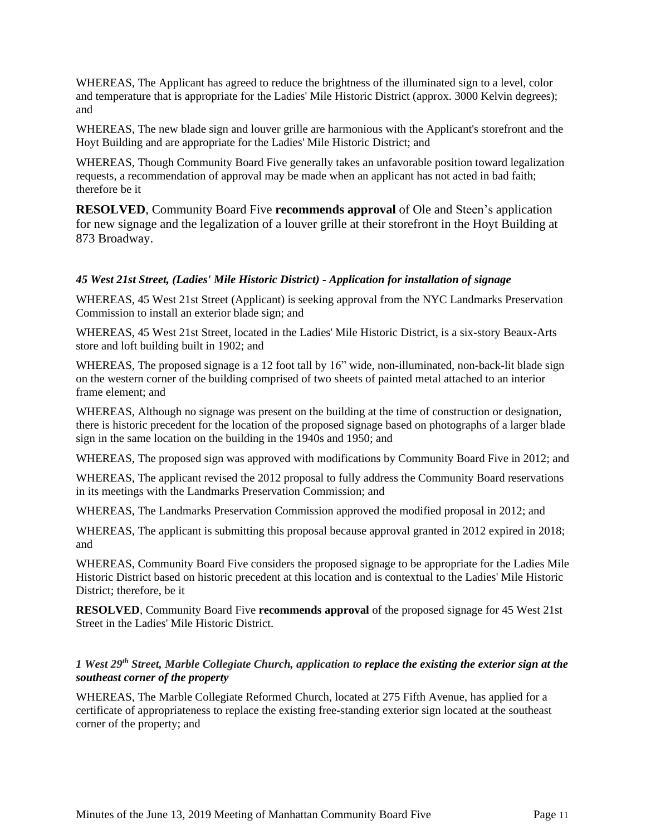WHEREAS, The Applicant has agreed to reduce the brightness of the illuminated sign to a level, color and temperature that is appropriate for the Ladies' Mile Historic District (approx. 3000 Kelvin degrees); and

WHEREAS, The new blade sign and louver grille are harmonious with the Applicant's storefront and the Hoyt Building and are appropriate for the Ladies' Mile Historic District; and

WHEREAS, Though Community Board Five generally takes an unfavorable position toward legalization requests, a recommendation of approval may be made when an applicant has not acted in bad faith; therefore be it

**RESOLVED**, Community Board Five **recommends approval** of Ole and Steen's application for new signage and the legalization of a louver grille at their storefront in the Hoyt Building at 873 Broadway.

### *45 West 21st Street, (Ladies' Mile Historic District) - Application for installation of signage*

WHEREAS, 45 West 21st Street (Applicant) is seeking approval from the NYC Landmarks Preservation Commission to install an exterior blade sign; and

WHEREAS, 45 West 21st Street, located in the Ladies' Mile Historic District, is a six-story Beaux-Arts store and loft building built in 1902; and

WHEREAS, The proposed signage is a 12 foot tall by 16" wide, non-illuminated, non-back-lit blade sign on the western corner of the building comprised of two sheets of painted metal attached to an interior frame element; and

WHEREAS, Although no signage was present on the building at the time of construction or designation, there is historic precedent for the location of the proposed signage based on photographs of a larger blade sign in the same location on the building in the 1940s and 1950; and

WHEREAS, The proposed sign was approved with modifications by Community Board Five in 2012; and

WHEREAS, The applicant revised the 2012 proposal to fully address the Community Board reservations in its meetings with the Landmarks Preservation Commission; and

WHEREAS, The Landmarks Preservation Commission approved the modified proposal in 2012; and

WHEREAS, The applicant is submitting this proposal because approval granted in 2012 expired in 2018; and

WHEREAS, Community Board Five considers the proposed signage to be appropriate for the Ladies Mile Historic District based on historic precedent at this location and is contextual to the Ladies' Mile Historic District; therefore, be it

**RESOLVED**, Community Board Five **recommends approval** of the proposed signage for 45 West 21st Street in the Ladies' Mile Historic District.

### 1 West 29th Street, Marble Collegiate Church, application to replace the existing the exterior sign at the *southeast corner of the property*

WHEREAS, The Marble Collegiate Reformed Church, located at 275 Fifth Avenue, has applied for a certificate of appropriateness to replace the existing free-standing exterior sign located at the southeast corner of the property; and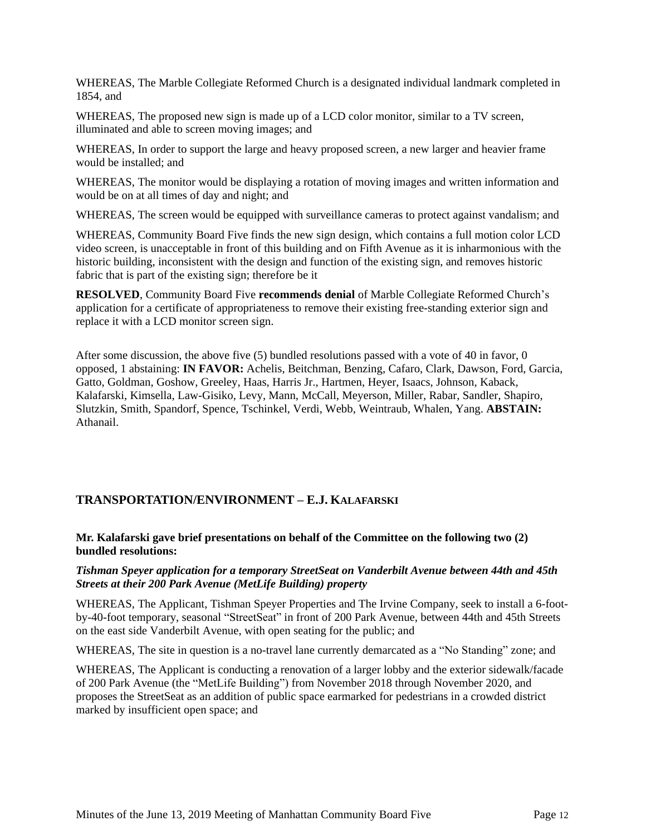WHEREAS, The Marble Collegiate Reformed Church is a designated individual landmark completed in 1854, and

WHEREAS, The proposed new sign is made up of a LCD color monitor, similar to a TV screen, illuminated and able to screen moving images; and

WHEREAS, In order to support the large and heavy proposed screen, a new larger and heavier frame would be installed; and

WHEREAS, The monitor would be displaying a rotation of moving images and written information and would be on at all times of day and night; and

WHEREAS, The screen would be equipped with surveillance cameras to protect against vandalism; and

WHEREAS, Community Board Five finds the new sign design, which contains a full motion color LCD video screen, is unacceptable in front of this building and on Fifth Avenue as it is inharmonious with the historic building, inconsistent with the design and function of the existing sign, and removes historic fabric that is part of the existing sign; therefore be it

**RESOLVED**, Community Board Five **recommends denial** of Marble Collegiate Reformed Church's application for a certificate of appropriateness to remove their existing free-standing exterior sign and replace it with a LCD monitor screen sign.

After some discussion, the above five (5) bundled resolutions passed with a vote of 40 in favor, 0 opposed, 1 abstaining: **IN FAVOR:** Achelis, Beitchman, Benzing, Cafaro, Clark, Dawson, Ford, Garcia, Gatto, Goldman, Goshow, Greeley, Haas, Harris Jr., Hartmen, Heyer, Isaacs, Johnson, Kaback, Kalafarski, Kimsella, Law-Gisiko, Levy, Mann, McCall, Meyerson, Miller, Rabar, Sandler, Shapiro, Slutzkin, Smith, Spandorf, Spence, Tschinkel, Verdi, Webb, Weintraub, Whalen, Yang. **ABSTAIN:** Athanail.

## **TRANSPORTATION/ENVIRONMENT – E.J. KALAFARSKI**

**Mr. Kalafarski gave brief presentations on behalf of the Committee on the following two (2) bundled resolutions:**

#### *Tishman Speyer application for a temporary StreetSeat on Vanderbilt Avenue between 44th and 45th Streets at their 200 Park Avenue (MetLife Building) property*

WHEREAS, The Applicant, Tishman Speyer Properties and The Irvine Company, seek to install a 6-footby-40-foot temporary, seasonal "StreetSeat" in front of 200 Park Avenue, between 44th and 45th Streets on the east side Vanderbilt Avenue, with open seating for the public; and

WHEREAS, The site in question is a no-travel lane currently demarcated as a "No Standing" zone; and

WHEREAS, The Applicant is conducting a renovation of a larger lobby and the exterior sidewalk/facade of 200 Park Avenue (the "MetLife Building") from November 2018 through November 2020, and proposes the StreetSeat as an addition of public space earmarked for pedestrians in a crowded district marked by insufficient open space; and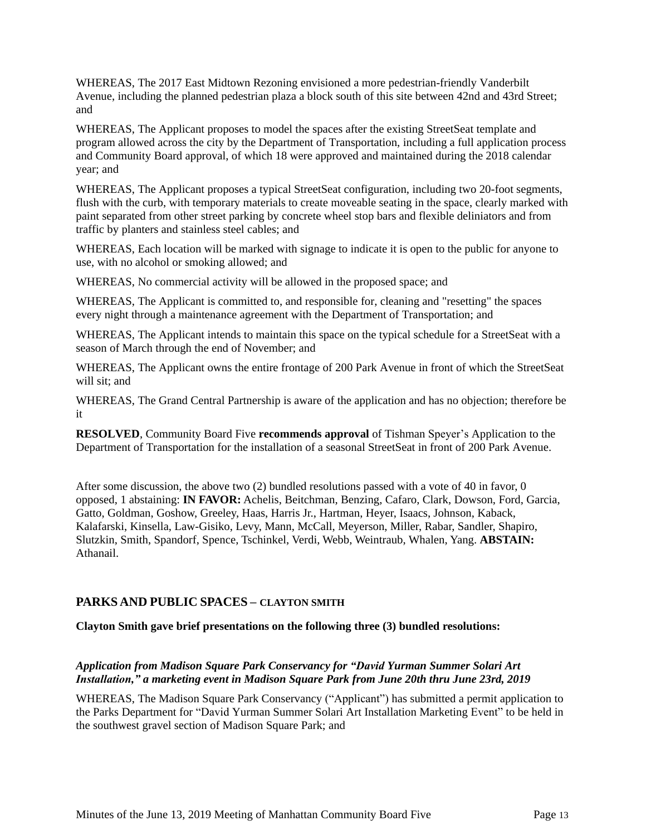WHEREAS, The 2017 East Midtown Rezoning envisioned a more pedestrian-friendly Vanderbilt Avenue, including the planned pedestrian plaza a block south of this site between 42nd and 43rd Street; and

WHEREAS, The Applicant proposes to model the spaces after the existing StreetSeat template and program allowed across the city by the Department of Transportation, including a full application process and Community Board approval, of which 18 were approved and maintained during the 2018 calendar year; and

WHEREAS, The Applicant proposes a typical StreetSeat configuration, including two 20-foot segments, flush with the curb, with temporary materials to create moveable seating in the space, clearly marked with paint separated from other street parking by concrete wheel stop bars and flexible deliniators and from traffic by planters and stainless steel cables; and

WHEREAS, Each location will be marked with signage to indicate it is open to the public for anyone to use, with no alcohol or smoking allowed; and

WHEREAS, No commercial activity will be allowed in the proposed space; and

WHEREAS, The Applicant is committed to, and responsible for, cleaning and "resetting" the spaces every night through a maintenance agreement with the Department of Transportation; and

WHEREAS, The Applicant intends to maintain this space on the typical schedule for a StreetSeat with a season of March through the end of November; and

WHEREAS, The Applicant owns the entire frontage of 200 Park Avenue in front of which the StreetSeat will sit; and

WHEREAS, The Grand Central Partnership is aware of the application and has no objection; therefore be it

**RESOLVED**, Community Board Five **recommends approval** of Tishman Speyer's Application to the Department of Transportation for the installation of a seasonal StreetSeat in front of 200 Park Avenue.

After some discussion, the above two (2) bundled resolutions passed with a vote of 40 in favor, 0 opposed, 1 abstaining: **IN FAVOR:** Achelis, Beitchman, Benzing, Cafaro, Clark, Dowson, Ford, Garcia, Gatto, Goldman, Goshow, Greeley, Haas, Harris Jr., Hartman, Heyer, Isaacs, Johnson, Kaback, Kalafarski, Kinsella, Law-Gisiko, Levy, Mann, McCall, Meyerson, Miller, Rabar, Sandler, Shapiro, Slutzkin, Smith, Spandorf, Spence, Tschinkel, Verdi, Webb, Weintraub, Whalen, Yang. **ABSTAIN:** Athanail.

## **PARKS AND PUBLIC SPACES – CLAYTON SMITH**

#### **Clayton Smith gave brief presentations on the following three (3) bundled resolutions:**

#### *Application from Madison Square Park Conservancy for "David Yurman Summer Solari Art Installation," a marketing event in Madison Square Park from June 20th thru June 23rd, 2019*

WHEREAS, The Madison Square Park Conservancy ("Applicant") has submitted a permit application to the Parks Department for "David Yurman Summer Solari Art Installation Marketing Event" to be held in the southwest gravel section of Madison Square Park; and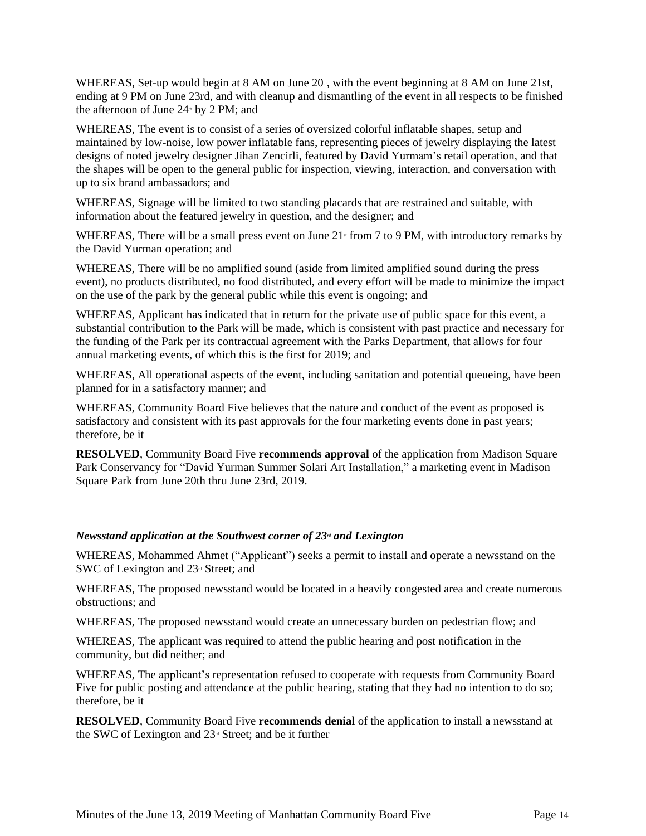WHEREAS, Set-up would begin at 8 AM on June 20<sup>th</sup>, with the event beginning at 8 AM on June 21st, ending at 9 PM on June 23rd, and with cleanup and dismantling of the event in all respects to be finished the afternoon of June  $24^{\text{th}}$  by 2 PM; and

WHEREAS, The event is to consist of a series of oversized colorful inflatable shapes, setup and maintained by low-noise, low power inflatable fans, representing pieces of jewelry displaying the latest designs of noted jewelry designer Jihan Zencirli, featured by David Yurmam's retail operation, and that the shapes will be open to the general public for inspection, viewing, interaction, and conversation with up to six brand ambassadors; and

WHEREAS, Signage will be limited to two standing placards that are restrained and suitable, with information about the featured jewelry in question, and the designer; and

WHEREAS, There will be a small press event on June 21<sup>st</sup> from 7 to 9 PM, with introductory remarks by the David Yurman operation; and

WHEREAS, There will be no amplified sound (aside from limited amplified sound during the press event), no products distributed, no food distributed, and every effort will be made to minimize the impact on the use of the park by the general public while this event is ongoing; and

WHEREAS, Applicant has indicated that in return for the private use of public space for this event, a substantial contribution to the Park will be made, which is consistent with past practice and necessary for the funding of the Park per its contractual agreement with the Parks Department, that allows for four annual marketing events, of which this is the first for 2019; and

WHEREAS, All operational aspects of the event, including sanitation and potential queueing, have been planned for in a satisfactory manner; and

WHEREAS, Community Board Five believes that the nature and conduct of the event as proposed is satisfactory and consistent with its past approvals for the four marketing events done in past years; therefore, be it

**RESOLVED**, Community Board Five **recommends approval** of the application from Madison Square Park Conservancy for "David Yurman Summer Solari Art Installation," a marketing event in Madison Square Park from June 20th thru June 23rd, 2019.

#### *Newsstand application at the Southwest corner of 23<sup><i>d*</sup> and *Lexington*

WHEREAS, Mohammed Ahmet ("Applicant") seeks a permit to install and operate a newsstand on the SWC of Lexington and 23<sup>rd</sup> Street; and

WHEREAS, The proposed newsstand would be located in a heavily congested area and create numerous obstructions; and

WHEREAS, The proposed newsstand would create an unnecessary burden on pedestrian flow; and

WHEREAS, The applicant was required to attend the public hearing and post notification in the community, but did neither; and

WHEREAS, The applicant's representation refused to cooperate with requests from Community Board Five for public posting and attendance at the public hearing, stating that they had no intention to do so; therefore, be it

**RESOLVED**, Community Board Five **recommends denial** of the application to install a newsstand at the SWC of Lexington and  $23<sup>d</sup>$  Street; and be it further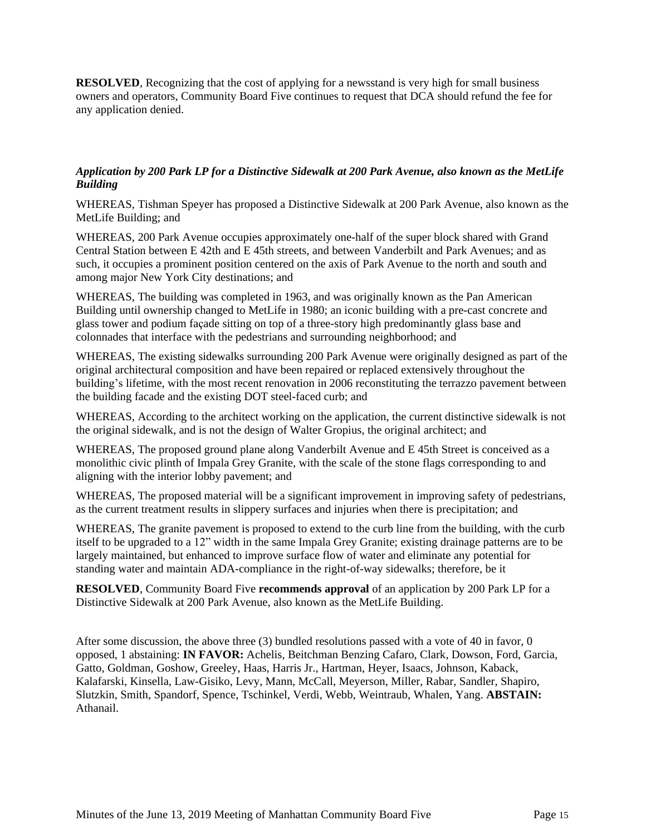**RESOLVED**, Recognizing that the cost of applying for a newsstand is very high for small business owners and operators, Community Board Five continues to request that DCA should refund the fee for any application denied.

### Application by 200 Park LP for a Distinctive Sidewalk at 200 Park Avenue, also known as the MetLife *Building*

WHEREAS, Tishman Speyer has proposed a Distinctive Sidewalk at 200 Park Avenue, also known as the MetLife Building; and

WHEREAS, 200 Park Avenue occupies approximately one-half of the super block shared with Grand Central Station between E 42th and E 45th streets, and between Vanderbilt and Park Avenues; and as such, it occupies a prominent position centered on the axis of Park Avenue to the north and south and among major New York City destinations; and

WHEREAS, The building was completed in 1963, and was originally known as the Pan American Building until ownership changed to MetLife in 1980; an iconic building with a pre-cast concrete and glass tower and podium façade sitting on top of a three-story high predominantly glass base and colonnades that interface with the pedestrians and surrounding neighborhood; and

WHEREAS, The existing sidewalks surrounding 200 Park Avenue were originally designed as part of the original architectural composition and have been repaired or replaced extensively throughout the building's lifetime, with the most recent renovation in 2006 reconstituting the terrazzo pavement between the building facade and the existing DOT steel-faced curb; and

WHEREAS, According to the architect working on the application, the current distinctive sidewalk is not the original sidewalk, and is not the design of Walter Gropius, the original architect; and

WHEREAS, The proposed ground plane along Vanderbilt Avenue and E 45th Street is conceived as a monolithic civic plinth of Impala Grey Granite, with the scale of the stone flags corresponding to and aligning with the interior lobby pavement; and

WHEREAS, The proposed material will be a significant improvement in improving safety of pedestrians, as the current treatment results in slippery surfaces and injuries when there is precipitation; and

WHEREAS, The granite pavement is proposed to extend to the curb line from the building, with the curb itself to be upgraded to a 12" width in the same Impala Grey Granite; existing drainage patterns are to be largely maintained, but enhanced to improve surface flow of water and eliminate any potential for standing water and maintain ADA-compliance in the right-of-way sidewalks; therefore, be it

**RESOLVED**, Community Board Five **recommends approval** of an application by 200 Park LP for a Distinctive Sidewalk at 200 Park Avenue, also known as the MetLife Building.

After some discussion, the above three (3) bundled resolutions passed with a vote of 40 in favor, 0 opposed, 1 abstaining: **IN FAVOR:** Achelis, Beitchman Benzing Cafaro, Clark, Dowson, Ford, Garcia, Gatto, Goldman, Goshow, Greeley, Haas, Harris Jr., Hartman, Heyer, Isaacs, Johnson, Kaback, Kalafarski, Kinsella, Law-Gisiko, Levy, Mann, McCall, Meyerson, Miller, Rabar, Sandler, Shapiro, Slutzkin, Smith, Spandorf, Spence, Tschinkel, Verdi, Webb, Weintraub, Whalen, Yang. **ABSTAIN:** Athanail.